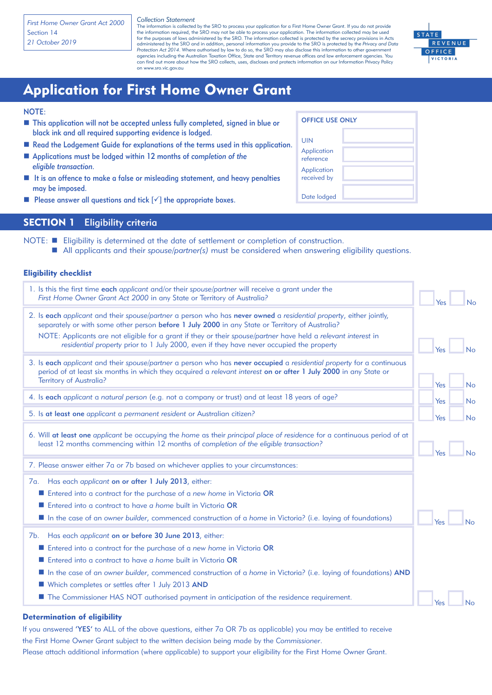*First Home Owner Grant Act 2000* Section 14 *21 October 2019*

*Collection Statement*

The information is collected by the SRO to process your application for a First Home Owner Grant. If you do not provide the information required, the SRO may not be able to process your application. The information collected may be used<br>for the purposes of laws administered by the SRO. The information collected is protected by the secrecy p administered by the SRO and in addition, personal information you provide to the SRO is protected by the *Privacy and Data Protection Act 2014.* Where authorised by law to do so, the SRO may also disclose this information to other government<br>agencies including the Australian Taxation Office, State and Territory revenue offices and law enforce can find out more about how the SRO collects, uses, discloses and protects information on our Information Privacy Policy on www.sro.vic.gov.au



# Application for First Home Owner Grant

#### NOTE:

- This application will not be accepted unless fully completed, signed in blue or black ink and all required supporting evidence is lodged.
- Read the Lodgement Guide for explanations of the terms used in this application.
- Applications must be lodged within 12 months of *completion of the eligible transaction.*
- $\blacksquare$  It is an offence to make a false or misleading statement, and heavy penalties may be imposed.
- **n** Please answer all questions and tick  $[\checkmark]$  the appropriate boxes.

| <b>OFFICE USE ONLY</b> |  |  |  |  |
|------------------------|--|--|--|--|
| UIN                    |  |  |  |  |

| <b>UIN</b>                 |  |
|----------------------------|--|
| Application<br>reference   |  |
| Application<br>received by |  |
| Date lodged                |  |

## SECTION 1 Eligibility criteria

NOTE: **n** Eligibility is determined at the date of settlement or completion of construction.

■ All applicants and their *spouse/partner(s)* must be considered when answering eligibility questions.

#### Eligibility checklist

| 1. Is this the first time each applicant and/or their spouse/partner will receive a grant under the<br>First Home Owner Grant Act 2000 in any State or Territory of Australia?                                                                                                                                                                                                                                                      | Yes | No        |
|-------------------------------------------------------------------------------------------------------------------------------------------------------------------------------------------------------------------------------------------------------------------------------------------------------------------------------------------------------------------------------------------------------------------------------------|-----|-----------|
| 2. Is each applicant and their spouse/partner a person who has never owned a residential property, either jointly,<br>separately or with some other person before 1 July 2000 in any State or Territory of Australia?<br>NOTE: Applicants are not eligible for a grant if they or their spouse/partner have held a relevant interest in<br>residential property prior to 1 July 2000, even if they have never occupied the property |     |           |
| 3. Is each applicant and their spouse/partner a person who has never occupied a residential property for a continuous<br>period of at least six months in which they acquired a relevant interest on or after 1 July 2000 in any State or                                                                                                                                                                                           | Yes | No        |
| <b>Territory of Australia?</b>                                                                                                                                                                                                                                                                                                                                                                                                      | Yes | <b>No</b> |
| 4. Is each applicant a natural person (e.g. not a company or trust) and at least 18 years of age?                                                                                                                                                                                                                                                                                                                                   | Yes | <b>No</b> |
| 5. Is at least one applicant a permanent resident or Australian citizen?                                                                                                                                                                                                                                                                                                                                                            | Yes | No        |
| 6. Will at least one applicant be occupying the home as their principal place of residence for a continuous period of at<br>least 12 months commencing within 12 months of completion of the eligible transaction?                                                                                                                                                                                                                  | Yes | No        |
| 7. Please answer either 7a or 7b based on whichever applies to your circumstances:                                                                                                                                                                                                                                                                                                                                                  |     |           |
| Has each applicant on or after 1 July 2013, either:<br>7a.                                                                                                                                                                                                                                                                                                                                                                          |     |           |
| Entered into a contract for the purchase of a new home in Victoria OR                                                                                                                                                                                                                                                                                                                                                               |     |           |
| Entered into a contract to have a home built in Victoria OR                                                                                                                                                                                                                                                                                                                                                                         |     |           |
| In the case of an owner builder, commenced construction of a home in Victoria? (i.e. laying of foundations)                                                                                                                                                                                                                                                                                                                         | Yes | No        |
| Has each applicant on or before 30 June 2013, either:<br>7b.                                                                                                                                                                                                                                                                                                                                                                        |     |           |
| ■ Entered into a contract for the purchase of a new home in Victoria OR                                                                                                                                                                                                                                                                                                                                                             |     |           |
| Entered into a contract to have a home built in Victoria OR                                                                                                                                                                                                                                                                                                                                                                         |     |           |
| In the case of an owner builder, commenced construction of a home in Victoria? (i.e. laying of foundations) AND                                                                                                                                                                                                                                                                                                                     |     |           |
| Which completes or settles after 1 July 2013 AND                                                                                                                                                                                                                                                                                                                                                                                    |     |           |
| <b>The Commissioner HAS NOT authorised payment in anticipation of the residence requirement.</b>                                                                                                                                                                                                                                                                                                                                    | Yes | <b>No</b> |

#### Determination of eligibility

If you answered 'YES' to ALL of the above questions, either 7a OR 7b as applicable) you may be entitled to receive the First Home Owner Grant subject to the written decision being made by the *Commissioner*. Please attach additional information (where applicable) to support your eligibility for the First Home Owner Grant.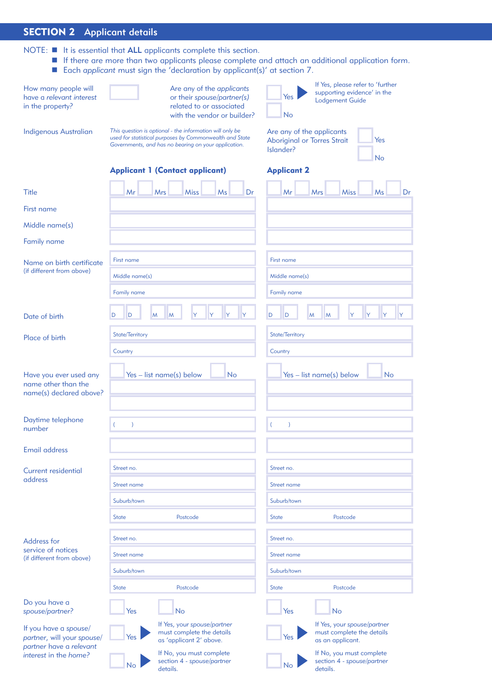## SECTION 2 Applicant details

- NOTE:  $\blacksquare$  It is essential that ALL applicants complete this section.
	- **n** If there are more than two applicants please complete and attach an additional application form.
	- Each *applicant* must sign the 'declaration by applicant(s)' at section 7.

| How many people will<br>have a relevant interest<br>in the property?           | Are any of the applicants<br>or their spouse/partner(s)<br>related to or associated<br>with the vendor or builder?                                                          | If Yes, please refer to 'further<br>supporting evidence' in the<br>Yes<br><b>Lodgement Guide</b><br><b>No</b> |  |  |
|--------------------------------------------------------------------------------|-----------------------------------------------------------------------------------------------------------------------------------------------------------------------------|---------------------------------------------------------------------------------------------------------------|--|--|
| <b>Indigenous Australian</b>                                                   | This question is optional - the information will only be<br>used for statistical purposes by Commonwealth and State<br>Governments, and has no bearing on your application. | Are any of the applicants<br><b>Aboriginal or Torres Strait</b><br>Yes<br>Islander?<br>No                     |  |  |
|                                                                                | <b>Applicant 1 (Contact applicant)</b>                                                                                                                                      | <b>Applicant 2</b>                                                                                            |  |  |
| <b>Title</b>                                                                   | Mr<br>Miss<br>Ms<br>Dr<br>Mrs                                                                                                                                               | <b>Miss</b><br>Ms<br>Mr<br><b>Mrs</b><br>Dr                                                                   |  |  |
| First name                                                                     |                                                                                                                                                                             |                                                                                                               |  |  |
| Middle name(s)                                                                 |                                                                                                                                                                             |                                                                                                               |  |  |
| Family name                                                                    |                                                                                                                                                                             |                                                                                                               |  |  |
| Name on birth certificate<br>(if different from above)                         | First name                                                                                                                                                                  | First name                                                                                                    |  |  |
|                                                                                | Middle name(s)                                                                                                                                                              | Middle name(s)                                                                                                |  |  |
|                                                                                | Family name                                                                                                                                                                 | <b>Family name</b>                                                                                            |  |  |
| Date of birth                                                                  | D<br>M<br>M<br>Y<br>D<br>Y                                                                                                                                                  | D<br>M<br><b>Y</b><br>D<br>M<br>lY.                                                                           |  |  |
| Place of birth                                                                 | State/Territory                                                                                                                                                             | State/Territory                                                                                               |  |  |
|                                                                                | Country                                                                                                                                                                     | Country                                                                                                       |  |  |
| Have you ever used any<br>name other than the<br>name(s) declared above?       | <b>No</b><br>Yes - list name(s) below                                                                                                                                       | <b>No</b><br>Yes - list name(s) below                                                                         |  |  |
| Daytime telephone<br>number                                                    | $\lambda$                                                                                                                                                                   | $\lambda$<br>- (                                                                                              |  |  |
| <b>Email address</b>                                                           |                                                                                                                                                                             |                                                                                                               |  |  |
| Current residential                                                            | Street no.                                                                                                                                                                  | Street no.                                                                                                    |  |  |
| address                                                                        | Street name                                                                                                                                                                 | Street name                                                                                                   |  |  |
|                                                                                | Suburb/town                                                                                                                                                                 | Suburb/town                                                                                                   |  |  |
|                                                                                | <b>State</b><br>Postcode                                                                                                                                                    | <b>State</b><br>Postcode                                                                                      |  |  |
|                                                                                | Street no.                                                                                                                                                                  | Street no.                                                                                                    |  |  |
| Address for<br>service of notices                                              | Street name                                                                                                                                                                 | Street name                                                                                                   |  |  |
| (if different from above)                                                      | Suburb/town                                                                                                                                                                 | Suburb/town                                                                                                   |  |  |
|                                                                                | <b>State</b><br>Postcode                                                                                                                                                    | <b>State</b><br>Postcode                                                                                      |  |  |
| Do you have a<br>spouse/partner?                                               | Yes<br><b>No</b>                                                                                                                                                            | Yes<br><b>No</b>                                                                                              |  |  |
| If you have a spouse/<br>partner, will your spouse/<br>partner have a relevant | If Yes, your spouse/partner<br>must complete the details<br>Yes<br>as 'applicant 2' above.                                                                                  | If Yes, your spouse/partner<br>must complete the details<br>Yes<br>as an applicant.                           |  |  |
| interest in the home?                                                          | If No, you must complete<br>section 4 - spouse/partner<br><b>No</b><br>details.                                                                                             | If No, you must complete<br>section 4 - spouse/partner<br><b>No</b><br>details.                               |  |  |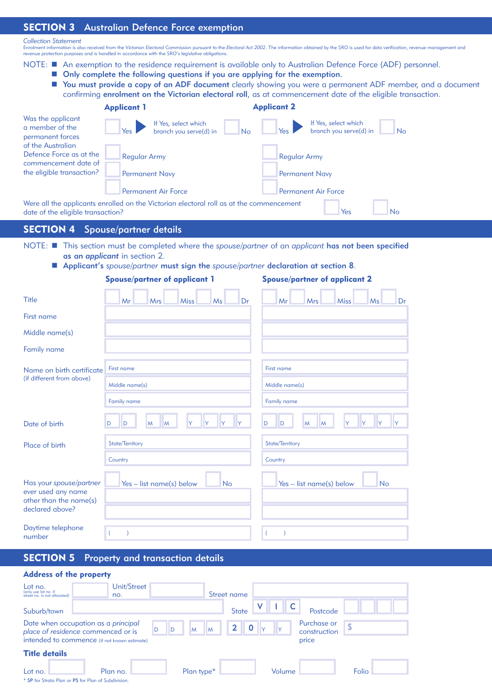#### SECTION 3 Australian Defence Force exemption

#### *Collection Statement*

Enrolment information is also received from the Victorian Electoral Commission pursuant to the Electoral Act 2002. The information obtained by the SRO is used for data verification, revenue management and<br>revenue protectio

- NOTE: An exemption to the residence requirement is available only to Australian Defence Force (ADF) personnel.
	- Only complete the following questions if you are applying for the exemption.
	- You must provide a copy of an ADF document clearly showing you were a permanent ADF member, and a document confirming enrolment on the Victorian electoral roll, as at commencement date of the eligible transaction.

|                                                                               | <b>Applicant 1</b>                                                                                                    | <b>Applicant 2</b>                                          |
|-------------------------------------------------------------------------------|-----------------------------------------------------------------------------------------------------------------------|-------------------------------------------------------------|
| Was the applicant<br>a member of the<br>permanent forces<br>of the Australian | If Yes, select which<br>branch you serve(d) in<br>No                                                                  | If Yes, select which<br>branch you serve(d) in<br><b>No</b> |
| Defence Force as at the<br>commencement date of<br>the eligible transaction?  | <b>Regular Army</b><br><b>Permanent Navy</b>                                                                          | <b>Regular Army</b><br><b>Permanent Navy</b>                |
|                                                                               | <b>Permanent Air Force</b><br>Were all the applicants enrolled on the Victorian electoral roll as at the commencement | <b>Permanent Air Force</b>                                  |
| date of the eligible transaction?                                             |                                                                                                                       | Yes<br><b>No</b>                                            |

SECTION 4 Spouse/partner details

- NOTE: **n** This section must be completed where the *spouse/partner* of an *applicant* has not been specified as an *applicant* in section 2.
	- Applicant's *spouse/partner* must sign the *spouse/partner* declaration at section 8.

| <b>Spouse/partner of applicant 1</b>                                                       |                                       | <b>Spouse/partner of applicant 2</b>  |  |  |  |
|--------------------------------------------------------------------------------------------|---------------------------------------|---------------------------------------|--|--|--|
| <b>Title</b>                                                                               | Ms<br>Mrs<br><b>Miss</b><br>Dr<br>Mr  | Mr<br>Mrs<br><b>Miss</b><br>Ms<br>Dr  |  |  |  |
| First name                                                                                 |                                       |                                       |  |  |  |
| Middle name(s)                                                                             |                                       |                                       |  |  |  |
| Family name                                                                                |                                       |                                       |  |  |  |
| Name on birth certificate                                                                  | First name                            | First name                            |  |  |  |
| (if different from above)                                                                  | Middle name(s)                        | Middle name(s)                        |  |  |  |
|                                                                                            | Family name                           | Family name                           |  |  |  |
| Date of birth                                                                              | D<br>D<br>M<br>M                      | D<br>D<br>M<br>M                      |  |  |  |
| Place of birth                                                                             | State/Territory                       | State/Territory                       |  |  |  |
|                                                                                            | Country                               | Country                               |  |  |  |
| Has your spouse/partner<br>ever used any name<br>other than the name(s)<br>declared above? | Yes - list name(s) below<br><b>No</b> | Yes - list name(s) below<br><b>No</b> |  |  |  |
| Daytime telephone<br>number                                                                | $\overline{ }$                        | $\lambda$<br>$\left($                 |  |  |  |

SECTION 5 Property and transaction details

#### Address of the property

| Lot no.<br>(only use lot no. if<br>street no. is not allocated)           | Unit/Street<br>no. |                        | Street name                 |                             |       |
|---------------------------------------------------------------------------|--------------------|------------------------|-----------------------------|-----------------------------|-------|
| Suburb/town                                                               |                    |                        | <b>State</b>                | Postcode                    |       |
| Date when occupation as a principal<br>place of residence commenced or is | D<br>D             | M<br>M                 | $\mathbf 0$<br>$\mathbf{2}$ | Purchase or<br>construction | ¢     |
| intended to commence (if not known estimate)                              |                    |                        |                             | price                       |       |
| <b>Title details</b>                                                      |                    |                        |                             |                             |       |
| Lot no.<br>* SP for Strata Plan or PS for Plan of Subdivision.            | Plan no.           | Plan type <sup>*</sup> | Volume                      |                             | Folio |
|                                                                           |                    |                        |                             |                             |       |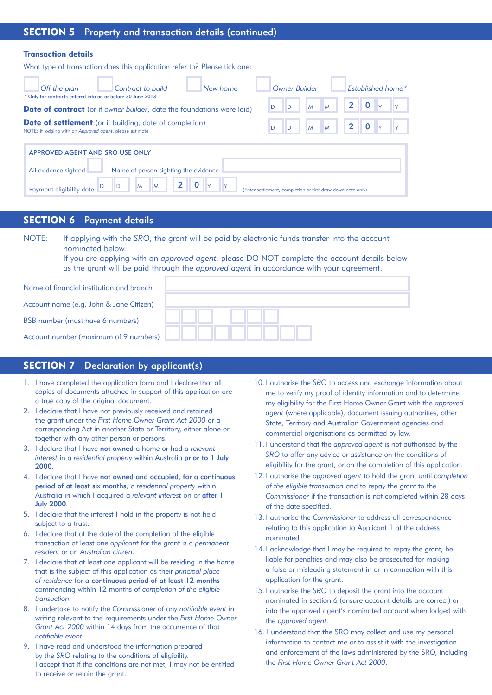#### SECTION 5 Property and transaction details (continued)

#### Transaction details

What type of transaction does this application refer to? Please tick one:

| Off the plan<br>Contract to build<br>* Only for contracts entered into on or before 30 June 2013                           | New home | Owner Builder                                               |        |              | Established home* |
|----------------------------------------------------------------------------------------------------------------------------|----------|-------------------------------------------------------------|--------|--------------|-------------------|
| <b>Date of contract</b> (or if owner builder, date the foundations were laid)                                              |          | D                                                           | M<br>M | $\mathbf{2}$ |                   |
| <b>Date of settlement</b> (or if building, date of completion)<br>NOTE: If lodging with an Approved agent, please estimate |          |                                                             | İΜ     |              |                   |
| APPROVED AGENT AND SRO USE ONLY<br>Name of person sighting the evidence<br>All evidence sighted                            |          |                                                             |        |              |                   |
| $\mathbf{2}$<br><b>M</b><br>M<br>Payment eligibility date                                                                  |          | (Enter settlement, completion or first draw down date only) |        |              |                   |

#### SECTION 6 Payment details

NOTE: If applying with the *SRO*, the grant will be paid by electronic funds transfer into the account nominated below.

If you are applying with an *approved agent*, please DO NOT complete the account details below as the grant will be paid through the *approved agent* in accordance with your agreement.

| Name of financial institution and branch |  |
|------------------------------------------|--|
| Account name (e.g. John & Jane Citizen)  |  |
| BSB number (must have 6 numbers)         |  |
| Account number (maximum of 9 numbers)    |  |

#### SECTION 7 Declaration by applicant(s)

- 1. I have completed the application form and I declare that all copies of documents attached in support of this application are a true copy of the original document.
- 2. I declare that I have not previously received and retained the grant under the *First Home Owner Grant Act 2000* or a corresponding Act in another State or Territory, either alone or together with any other person or persons.
- 3. I declare that I have not owned a home or had a *relevant interest* in a *residential property* within Australia prior to 1 July 2000.
- 4. I declare that I have not owned and occupied, for a continuous period of at least six months, a *residential property* within Australia in which I acquired a *relevant interest* on or after 1 July 2000.
- 5. I declare that the interest I hold in the property is not held subject to a trust.
- 6. I declare that at the date of the completion of the eligible transaction at least one *applicant* for the grant is a *permanent resident* or an *Australian citizen*.
- 7. I declare that at least one applicant will be residing in the *home* that is the subject of this application as their *principal place of residence* for a continuous period of at least 12 months commencing within 12 months of *completion of the eligible transaction.*
- 8. I undertake to notify the *Commissioner* of any *notifiable event* in writing relevant to the requirements under the *First Home Owner Grant Act 2000* within 14 days from the occurrence of that *notifiable event*.
- 9. I have read and understood the information prepared by the *SRO* relating to the conditions of eligibility. I accept that if the conditions are not met, I may not be entitled to receive or retain the grant.
- 10. I authorise the *SRO* to access and exchange information about me to verify my proof of identity information and to determine my eligibility for the First Home Owner Grant with the *approved agent* (where applicable), document issuing authorities, other State, Territory and Australian Government agencies and commercial organisations as permitted by law.
- 11. I understand that the *approved agent* is not authorised by the *SRO* to offer any advice or assistance on the conditions of eligibility for the grant, or on the completion of this application.
- 12. I authorise the *approved agent* to hold the grant until *completion of the eligible transaction* and to repay the grant to the *Commissioner* if the transaction is not completed within 28 days of the date specified.
- 13. I authorise the *Commissioner* to address all correspondence relating to this application to Applicant 1 at the address nominated.
- 14. I acknowledge that I may be required to repay the grant, be liable for penalties and may also be prosecuted for making a false or misleading statement in or in connection with this application for the grant.
- 15. I authorise the *SRO* to deposit the grant into the account nominated in section 6 (ensure account details are correct) or into the approved agent's nominated account when lodged with the *approved agent*.
- 16. I understand that the SRO may collect and use my personal information to contact me or to assist it with the investigation and enforcement of the laws administered by the SRO, including the *First Home Owner Grant Act 2000*.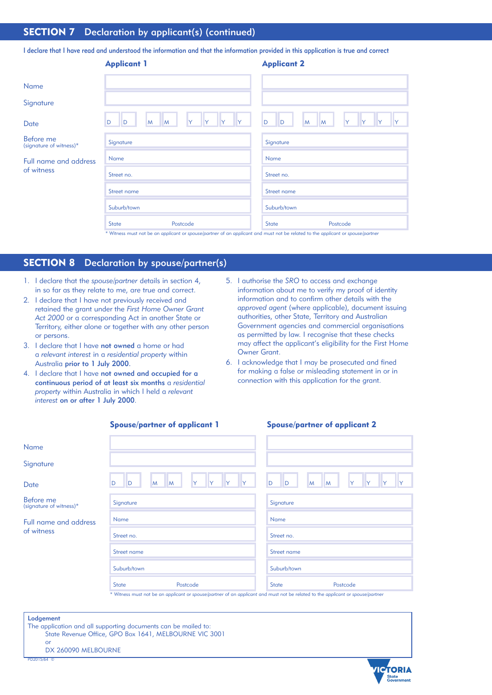## **SECTION 7** Declaration by applicant(s) (continued)

I declare that I have read and understood the information and that the information provided in this application is true and correct

|                                            | <b>Applicant 1</b>           |              | <b>Applicant 2</b>                                                                                                              |
|--------------------------------------------|------------------------------|--------------|---------------------------------------------------------------------------------------------------------------------------------|
| Name                                       |                              |              |                                                                                                                                 |
| Signature                                  |                              |              |                                                                                                                                 |
| Date                                       | D<br>Y<br>M<br>D<br><b>M</b> | $\mathsf{Y}$ | D<br>D<br>M<br>M<br>IY.                                                                                                         |
| Before me<br>(signature of witness)*       | Signature                    |              | Signature                                                                                                                       |
| <b>Full name and address</b><br>of witness | Name                         |              | Name                                                                                                                            |
|                                            | Street no.                   |              | Street no.                                                                                                                      |
|                                            | Street name                  |              | Street name                                                                                                                     |
|                                            | Suburb/town                  |              | Suburb/town                                                                                                                     |
|                                            | Postcode<br><b>State</b>     |              | Postcode<br><b>State</b>                                                                                                        |
|                                            |                              |              | * Witness must not be an applicant or spouse/partner of an applicant and must not be related to the applicant or spouse/partner |

### SECTION 8 Declaration by spouse/partner(s)

- 1. I declare that the *spouse/partner* details in section 4, in so far as they relate to me, are true and correct.
- 2. I declare that I have not previously received and retained the grant under the *First Home Owner Grant Act 2000* or a corresponding Act in another State or Territory, either alone or together with any other person or persons.
- 3. I declare that I have not owned a home or had a *relevant interest* in a *residential property* within Australia prior to 1 July 2000.
- 4. I declare that I have not owned and occupied for a continuous period of at least six months a *residential property* within Australia in which I held a *relevant interest* on or after 1 July 2000.
- 5. I authorise the *SRO* to access and exchange information about me to verify my proof of identity information and to confirm other details with the *approved agent* (where applicable), document issuing authorities, other State, Territory and Australian Government agencies and commercial organisations as permitted by law. I recognise that these checks may affect the applicant's eligibility for the First Home Owner Grant.
- 6. I acknowledge that I may be prosecuted and fined for making a false or misleading statement in or in connection with this application for the grant.

| <b>Spouse/partner of applicant 1</b>       |                                                                                                                                 | <b>Spouse/partner of applicant 2</b> |
|--------------------------------------------|---------------------------------------------------------------------------------------------------------------------------------|--------------------------------------|
| Name                                       |                                                                                                                                 |                                      |
| Signature                                  |                                                                                                                                 |                                      |
| Date                                       | M<br><b>M</b><br>Y<br>Y<br>D<br>D                                                                                               | D<br>D<br>M<br>M<br>IY               |
| Before me<br>(signature of witness)*       | Signature                                                                                                                       | Signature                            |
| <b>Full name and address</b><br>of witness | Name                                                                                                                            | Name                                 |
|                                            | Street no.                                                                                                                      | Street no.                           |
|                                            | Street name                                                                                                                     | Street name                          |
|                                            | Suburb/town                                                                                                                     | Suburb/town                          |
|                                            | Postcode<br><b>State</b>                                                                                                        | Postcode<br><b>State</b>             |
|                                            | * Witness must not be an applicant or spouse/partner of an applicant and must not be related to the applicant or spouse/partner |                                      |

#### Lodgement

The application and all supporting documents can be mailed to: State Revenue Office, GPO Box 1641, MELBOURNE VIC 3001 or

DX 260090 MELBOURNE



PD2015/64 ©